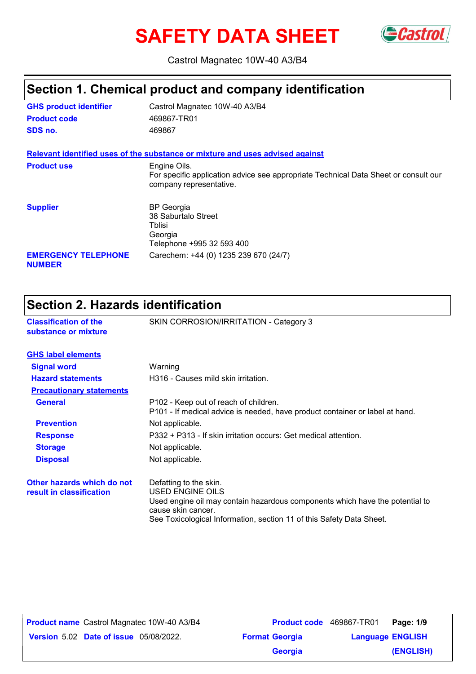# **SAFETY DATA SHEET** GCastrol



Castrol Magnatec 10W-40 A3/B4

### **Section 1. Chemical product and company identification**

| <b>GHS product identifier</b>               | Castrol Magnatec 10W-40 A3/B4                                                                                                  |
|---------------------------------------------|--------------------------------------------------------------------------------------------------------------------------------|
| <b>Product code</b>                         | 469867-TR01                                                                                                                    |
| SDS no.                                     | 469867                                                                                                                         |
|                                             | Relevant identified uses of the substance or mixture and uses advised against                                                  |
| <b>Product use</b>                          | Engine Oils.<br>For specific application advice see appropriate Technical Data Sheet or consult our<br>company representative. |
| <b>Supplier</b>                             | <b>BP</b> Georgia<br>38 Saburtalo Street<br>Tblisi<br>Georgia<br>Telephone +995 32 593 400                                     |
| <b>EMERGENCY TELEPHONE</b><br><b>NUMBER</b> | Carechem: +44 (0) 1235 239 670 (24/7)                                                                                          |

### **Section 2. Hazards identification**

| <b>Classification of the</b><br>substance or mixture   | SKIN CORROSION/IRRITATION - Category 3                                                                                                                                                                                   |
|--------------------------------------------------------|--------------------------------------------------------------------------------------------------------------------------------------------------------------------------------------------------------------------------|
| <b>GHS label elements</b>                              |                                                                                                                                                                                                                          |
| <b>Signal word</b>                                     | Warning                                                                                                                                                                                                                  |
| <b>Hazard statements</b>                               | H316 - Causes mild skin irritation.                                                                                                                                                                                      |
| <b>Precautionary statements</b>                        |                                                                                                                                                                                                                          |
| <b>General</b>                                         | P102 - Keep out of reach of children.<br>P101 - If medical advice is needed, have product container or label at hand.                                                                                                    |
| <b>Prevention</b>                                      | Not applicable.                                                                                                                                                                                                          |
| <b>Response</b>                                        | P332 + P313 - If skin irritation occurs: Get medical attention.                                                                                                                                                          |
| <b>Storage</b>                                         | Not applicable.                                                                                                                                                                                                          |
| <b>Disposal</b>                                        | Not applicable.                                                                                                                                                                                                          |
| Other hazards which do not<br>result in classification | Defatting to the skin.<br>USED ENGINE OILS<br>Used engine oil may contain hazardous components which have the potential to<br>cause skin cancer.<br>See Toxicological Information, section 11 of this Safety Data Sheet. |

**Date of issue** 05/08/2022. **Version** 5.02 **Format Georgia Language Product name** Castrol Magnatec 10W-40 A3/B4 **Product code** 469867-TR01 **Page: 1/9 Language ENGLISH (ENGLISH)** Product code 469867-TR01 Page: 1/9 **Georgia**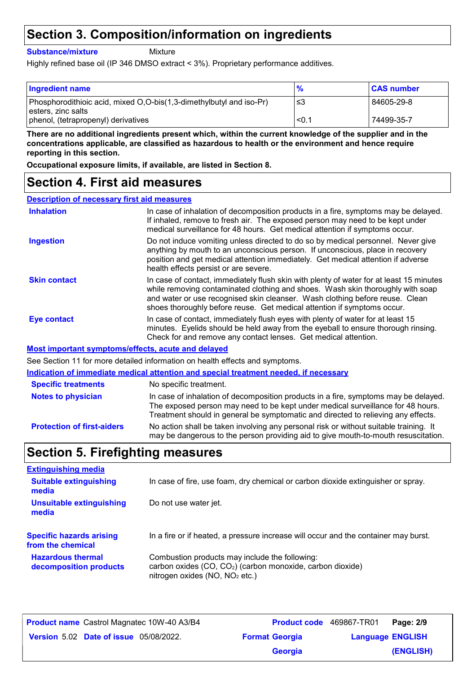### **Section 3. Composition/information on ingredients**

**Substance/mixture**

**Mixture** 

Highly refined base oil (IP 346 DMSO extract < 3%). Proprietary performance additives.

| <b>Ingredient name</b>                                                                    | $\frac{9}{6}$ | <b>CAS number</b> |
|-------------------------------------------------------------------------------------------|---------------|-------------------|
| Phosphorodithioic acid, mixed O,O-bis(1,3-dimethylbutyl and iso-Pr)<br>esters, zinc salts | -≤3           | 84605-29-8        |
| phenol, (tetrapropenyl) derivatives                                                       | < 0.1         | 74499-35-7        |

**There are no additional ingredients present which, within the current knowledge of the supplier and in the concentrations applicable, are classified as hazardous to health or the environment and hence require reporting in this section.**

**Occupational exposure limits, if available, are listed in Section 8.**

#### **Section 4. First aid measures**

| <b>Description of necessary first aid measures</b> |                                                                                                                                                                                                                                                                                                                                      |
|----------------------------------------------------|--------------------------------------------------------------------------------------------------------------------------------------------------------------------------------------------------------------------------------------------------------------------------------------------------------------------------------------|
| <b>Inhalation</b>                                  | In case of inhalation of decomposition products in a fire, symptoms may be delayed.<br>If inhaled, remove to fresh air. The exposed person may need to be kept under<br>medical surveillance for 48 hours. Get medical attention if symptoms occur.                                                                                  |
| <b>Ingestion</b>                                   | Do not induce vomiting unless directed to do so by medical personnel. Never give<br>anything by mouth to an unconscious person. If unconscious, place in recovery<br>position and get medical attention immediately. Get medical attention if adverse<br>health effects persist or are severe.                                       |
| <b>Skin contact</b>                                | In case of contact, immediately flush skin with plenty of water for at least 15 minutes<br>while removing contaminated clothing and shoes. Wash skin thoroughly with soap<br>and water or use recognised skin cleanser. Wash clothing before reuse. Clean<br>shoes thoroughly before reuse. Get medical attention if symptoms occur. |
| Eye contact                                        | In case of contact, immediately flush eyes with plenty of water for at least 15<br>minutes. Eyelids should be held away from the eyeball to ensure thorough rinsing.<br>Check for and remove any contact lenses. Get medical attention.                                                                                              |
|                                                    | Most important symptoms/effects, acute and delayed                                                                                                                                                                                                                                                                                   |
|                                                    | See Section 11 for more detailed information on health effects and symptoms.                                                                                                                                                                                                                                                         |
|                                                    | Indication of immediate medical attention and special treatment needed, if necessary                                                                                                                                                                                                                                                 |
| <b>Specific treatments</b>                         | No specific treatment.                                                                                                                                                                                                                                                                                                               |
| <b>Notes to physician</b>                          | In case of inhalation of decomposition products in a fire, symptoms may be delayed.                                                                                                                                                                                                                                                  |

**Protection of first-aiders** No action shall be taken involving any personal risk or without suitable training. It may be dangerous to the person providing aid to give mouth-to-mouth resuscitation. The exposed person may need to be kept under medical surveillance for 48 hours. Treatment should in general be symptomatic and directed to relieving any effects.

### **Section 5. Firefighting measures**

| <b>Extinguishing media</b>               |                                                                                     |
|------------------------------------------|-------------------------------------------------------------------------------------|
| <b>Suitable extinguishing</b><br>media   | In case of fire, use foam, dry chemical or carbon dioxide extinguisher or spray.    |
| <b>Unsuitable extinguishing</b><br>media | Do not use water jet.                                                               |
| <b>Specific hazards arising</b>          | In a fire or if heated, a pressure increase will occur and the container may burst. |
| from the chemical                        |                                                                                     |

| <b>Product name</b> Castrol Magnatec 10W-40 A3/B4 | <b>Product code</b> 469867-TR01 |                         | Page: 2/9 |
|---------------------------------------------------|---------------------------------|-------------------------|-----------|
| Version 5.02 Date of issue 05/08/2022.            | <b>Format Georgia</b>           | <b>Language ENGLISH</b> |           |
|                                                   | Georgia                         |                         | (ENGLISH) |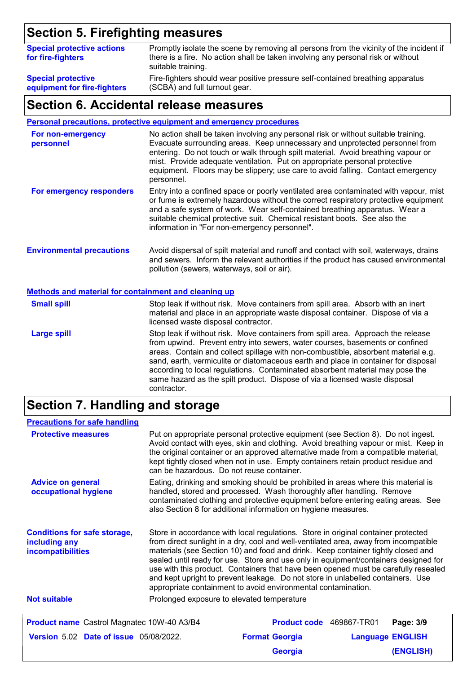# **Section 5. Firefighting measures**

| <b>Special protective actions</b><br>for fire-fighters | Promptly isolate the scene by removing all persons from the vicinity of the incident if<br>there is a fire. No action shall be taken involving any personal risk or without<br>suitable training. |
|--------------------------------------------------------|---------------------------------------------------------------------------------------------------------------------------------------------------------------------------------------------------|
| <b>Special protective</b>                              | Fire-fighters should wear positive pressure self-contained breathing apparatus                                                                                                                    |
| equipment for fire-fighters                            | (SCBA) and full turnout gear.                                                                                                                                                                     |

#### **Section 6. Accidental release measures**

**Personal precautions, protective equipment and emergency procedures**

| For non-emergency<br>personnel                              | No action shall be taken involving any personal risk or without suitable training.<br>Evacuate surrounding areas. Keep unnecessary and unprotected personnel from<br>entering. Do not touch or walk through spilt material. Avoid breathing vapour or<br>mist. Provide adequate ventilation. Put on appropriate personal protective<br>equipment. Floors may be slippery; use care to avoid falling. Contact emergency<br>personnel. |
|-------------------------------------------------------------|--------------------------------------------------------------------------------------------------------------------------------------------------------------------------------------------------------------------------------------------------------------------------------------------------------------------------------------------------------------------------------------------------------------------------------------|
| For emergency responders                                    | Entry into a confined space or poorly ventilated area contaminated with vapour, mist<br>or fume is extremely hazardous without the correct respiratory protective equipment<br>and a safe system of work. Wear self-contained breathing apparatus. Wear a<br>suitable chemical protective suit. Chemical resistant boots. See also the<br>information in "For non-emergency personnel".                                              |
| <b>Environmental precautions</b>                            | Avoid dispersal of spilt material and runoff and contact with soil, waterways, drains<br>and sewers. Inform the relevant authorities if the product has caused environmental<br>pollution (sewers, waterways, soil or air).                                                                                                                                                                                                          |
| <b>Methods and material for containment and cleaning up</b> |                                                                                                                                                                                                                                                                                                                                                                                                                                      |
| <b>Small spill</b>                                          | Stop leak if without risk. Move containers from spill area. Absorb with an inert<br>material and place in an appropriate waste disposal container. Dispose of via a<br>licensed waste disposal contractor.                                                                                                                                                                                                                           |
| <b>Large spill</b>                                          | Stop leak if without risk. Move containers from spill area. Approach the release<br>from upwind. Prevent entry into sewers, water courses, basements or confined<br>asaan Oqatala qadlad qallada willama with mamacaalayatida labaashaat matasid ala                                                                                                                                                                                 |

areas. Contain and collect spillage with non-combustible, absorbent material e.g. sand, earth, vermiculite or diatomaceous earth and place in container for disposal according to local regulations. Contaminated absorbent material may pose the same hazard as the spilt product. Dispose of via a licensed waste disposal contractor.

### **Section 7. Handling and storage**

| <b>Precautions for safe handling</b>                                      |                                            |                                                                                                                                                                                                                                                                                                                                                                                                                                                                                                                                                                                                |                         |
|---------------------------------------------------------------------------|--------------------------------------------|------------------------------------------------------------------------------------------------------------------------------------------------------------------------------------------------------------------------------------------------------------------------------------------------------------------------------------------------------------------------------------------------------------------------------------------------------------------------------------------------------------------------------------------------------------------------------------------------|-------------------------|
| <b>Protective measures</b>                                                | can be hazardous. Do not reuse container.  | Put on appropriate personal protective equipment (see Section 8). Do not ingest.<br>Avoid contact with eyes, skin and clothing. Avoid breathing vapour or mist. Keep in<br>the original container or an approved alternative made from a compatible material,<br>kept tightly closed when not in use. Empty containers retain product residue and                                                                                                                                                                                                                                              |                         |
| <b>Advice on general</b><br>occupational hygiene                          |                                            | Eating, drinking and smoking should be prohibited in areas where this material is<br>handled, stored and processed. Wash thoroughly after handling. Remove<br>contaminated clothing and protective equipment before entering eating areas. See<br>also Section 8 for additional information on hygiene measures.                                                                                                                                                                                                                                                                               |                         |
| <b>Conditions for safe storage,</b><br>including any<br>incompatibilities |                                            | Store in accordance with local regulations. Store in original container protected<br>from direct sunlight in a dry, cool and well-ventilated area, away from incompatible<br>materials (see Section 10) and food and drink. Keep container tightly closed and<br>sealed until ready for use. Store and use only in equipment/containers designed for<br>use with this product. Containers that have been opened must be carefully resealed<br>and kept upright to prevent leakage. Do not store in unlabelled containers. Use<br>appropriate containment to avoid environmental contamination. |                         |
| <b>Not suitable</b>                                                       | Prolonged exposure to elevated temperature |                                                                                                                                                                                                                                                                                                                                                                                                                                                                                                                                                                                                |                         |
| <b>Product name</b> Castrol Magnatec 10W-40 A3/B4                         |                                            | Product code 469867-TR01                                                                                                                                                                                                                                                                                                                                                                                                                                                                                                                                                                       | Page: 3/9               |
| <b>Version 5.02 Date of issue 05/08/2022.</b>                             |                                            | <b>Format Georgia</b>                                                                                                                                                                                                                                                                                                                                                                                                                                                                                                                                                                          | <b>Language ENGLISH</b> |
|                                                                           |                                            | <b>Georgia</b>                                                                                                                                                                                                                                                                                                                                                                                                                                                                                                                                                                                 | (ENGLISH)               |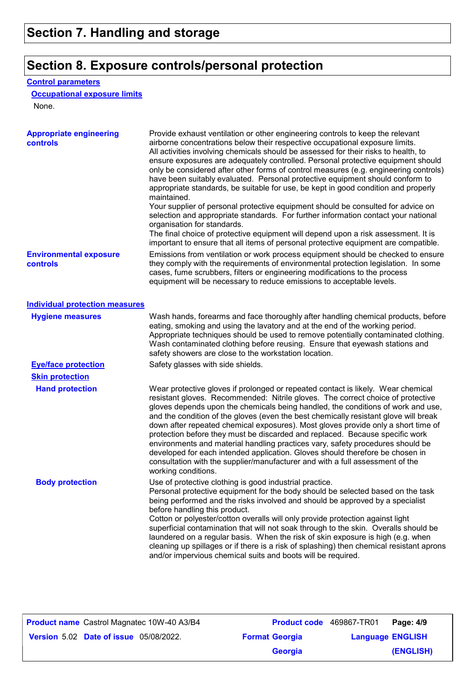## **Section 8. Exposure controls/personal protection**

#### **Control parameters**

#### **Occupational exposure limits**

None.

| <b>Appropriate engineering</b><br><b>controls</b> | Provide exhaust ventilation or other engineering controls to keep the relevant<br>airborne concentrations below their respective occupational exposure limits.<br>All activities involving chemicals should be assessed for their risks to health, to<br>ensure exposures are adequately controlled. Personal protective equipment should<br>only be considered after other forms of control measures (e.g. engineering controls)<br>have been suitably evaluated. Personal protective equipment should conform to<br>appropriate standards, be suitable for use, be kept in good condition and properly<br>maintained.<br>Your supplier of personal protective equipment should be consulted for advice on<br>selection and appropriate standards. For further information contact your national<br>organisation for standards.<br>The final choice of protective equipment will depend upon a risk assessment. It is<br>important to ensure that all items of personal protective equipment are compatible. |
|---------------------------------------------------|---------------------------------------------------------------------------------------------------------------------------------------------------------------------------------------------------------------------------------------------------------------------------------------------------------------------------------------------------------------------------------------------------------------------------------------------------------------------------------------------------------------------------------------------------------------------------------------------------------------------------------------------------------------------------------------------------------------------------------------------------------------------------------------------------------------------------------------------------------------------------------------------------------------------------------------------------------------------------------------------------------------|
| <b>Environmental exposure</b><br>controls         | Emissions from ventilation or work process equipment should be checked to ensure<br>they comply with the requirements of environmental protection legislation. In some<br>cases, fume scrubbers, filters or engineering modifications to the process<br>equipment will be necessary to reduce emissions to acceptable levels.                                                                                                                                                                                                                                                                                                                                                                                                                                                                                                                                                                                                                                                                                 |
| <b>Individual protection measures</b>             |                                                                                                                                                                                                                                                                                                                                                                                                                                                                                                                                                                                                                                                                                                                                                                                                                                                                                                                                                                                                               |
| <b>Hygiene measures</b>                           | Wash hands, forearms and face thoroughly after handling chemical products, before<br>eating, smoking and using the lavatory and at the end of the working period.<br>Appropriate techniques should be used to remove potentially contaminated clothing.<br>Wash contaminated clothing before reusing. Ensure that eyewash stations and<br>safety showers are close to the workstation location.                                                                                                                                                                                                                                                                                                                                                                                                                                                                                                                                                                                                               |
| <b>Eye/face protection</b>                        | Safety glasses with side shields.                                                                                                                                                                                                                                                                                                                                                                                                                                                                                                                                                                                                                                                                                                                                                                                                                                                                                                                                                                             |
| <b>Skin protection</b>                            |                                                                                                                                                                                                                                                                                                                                                                                                                                                                                                                                                                                                                                                                                                                                                                                                                                                                                                                                                                                                               |
| <b>Hand protection</b>                            | Wear protective gloves if prolonged or repeated contact is likely. Wear chemical<br>resistant gloves. Recommended: Nitrile gloves. The correct choice of protective<br>gloves depends upon the chemicals being handled, the conditions of work and use,<br>and the condition of the gloves (even the best chemically resistant glove will break<br>down after repeated chemical exposures). Most gloves provide only a short time of<br>protection before they must be discarded and replaced. Because specific work<br>environments and material handling practices vary, safety procedures should be<br>developed for each intended application. Gloves should therefore be chosen in<br>consultation with the supplier/manufacturer and with a full assessment of the<br>working conditions.                                                                                                                                                                                                               |
| <b>Body protection</b>                            | Use of protective clothing is good industrial practice.<br>Personal protective equipment for the body should be selected based on the task<br>being performed and the risks involved and should be approved by a specialist<br>before handling this product.<br>Cotton or polyester/cotton overalls will only provide protection against light<br>superficial contamination that will not soak through to the skin. Overalls should be<br>laundered on a regular basis. When the risk of skin exposure is high (e.g. when<br>cleaning up spillages or if there is a risk of splashing) then chemical resistant aprons<br>and/or impervious chemical suits and boots will be required.                                                                                                                                                                                                                                                                                                                         |

| <b>Product name</b> Castrol Magnatec 10W-40 A3/B4 | <b>Product code</b> 469867-TR01 |                         | Page: 4/9 |
|---------------------------------------------------|---------------------------------|-------------------------|-----------|
| <b>Version 5.02 Date of issue 05/08/2022.</b>     | <b>Format Georgia</b>           | <b>Language ENGLISH</b> |           |
|                                                   | <b>Georgia</b>                  |                         | (ENGLISH) |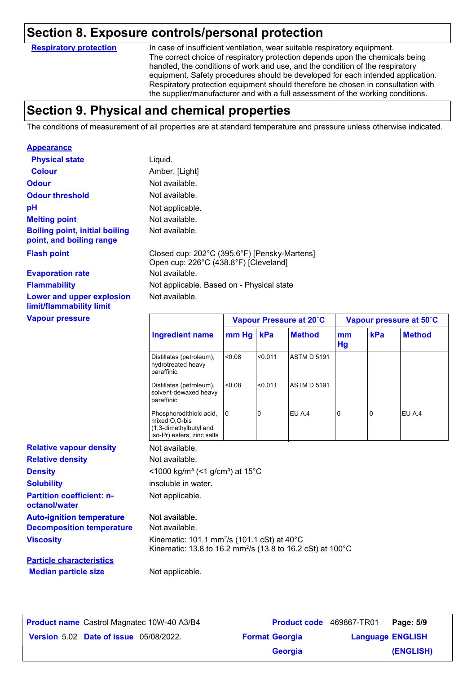#### **Section 8. Exposure controls/personal protection**

**Respiratory protection**

In case of insufficient ventilation, wear suitable respiratory equipment. The correct choice of respiratory protection depends upon the chemicals being handled, the conditions of work and use, and the condition of the respiratory equipment. Safety procedures should be developed for each intended application. Respiratory protection equipment should therefore be chosen in consultation with the supplier/manufacturer and with a full assessment of the working conditions.

### **Section 9. Physical and chemical properties**

The conditions of measurement of all properties are at standard temperature and pressure unless otherwise indicated.

| <b>Appearance</b>                                                 |                                                                                                                                   |                |         |                         |          |     |                         |
|-------------------------------------------------------------------|-----------------------------------------------------------------------------------------------------------------------------------|----------------|---------|-------------------------|----------|-----|-------------------------|
| <b>Physical state</b>                                             | Liquid.                                                                                                                           |                |         |                         |          |     |                         |
| <b>Colour</b>                                                     | Amber. [Light]                                                                                                                    |                |         |                         |          |     |                         |
| <b>Odour</b>                                                      | Not available.                                                                                                                    |                |         |                         |          |     |                         |
| <b>Odour threshold</b>                                            | Not available.                                                                                                                    |                |         |                         |          |     |                         |
| pH                                                                | Not applicable.                                                                                                                   |                |         |                         |          |     |                         |
| <b>Melting point</b>                                              | Not available.                                                                                                                    |                |         |                         |          |     |                         |
| <b>Boiling point, initial boiling</b><br>point, and boiling range | Not available.                                                                                                                    |                |         |                         |          |     |                         |
| <b>Flash point</b>                                                | Closed cup: 202°C (395.6°F) [Pensky-Martens]<br>Open cup: 226°C (438.8°F) [Cleveland]                                             |                |         |                         |          |     |                         |
| <b>Evaporation rate</b>                                           | Not available.                                                                                                                    |                |         |                         |          |     |                         |
| <b>Flammability</b>                                               | Not applicable. Based on - Physical state                                                                                         |                |         |                         |          |     |                         |
| Lower and upper explosion<br>limit/flammability limit             | Not available.                                                                                                                    |                |         |                         |          |     |                         |
| <b>Vapour pressure</b>                                            |                                                                                                                                   |                |         | Vapour Pressure at 20°C |          |     | Vapour pressure at 50°C |
|                                                                   | <b>Ingredient name</b>                                                                                                            | mm Hg          | kPa     | <b>Method</b>           | mm<br>Hg | kPa | <b>Method</b>           |
|                                                                   | Distillates (petroleum),<br>hydrotreated heavy<br>paraffinic                                                                      | 0.08           | < 0.011 | <b>ASTM D 5191</b>      |          |     |                         |
|                                                                   | Distillates (petroleum),<br>solvent-dewaxed heavy<br>paraffinic                                                                   | < 0.08         | <0.011  | <b>ASTM D 5191</b>      |          |     |                         |
|                                                                   | Phosphorodithioic acid,<br>mixed O,O-bis<br>(1,3-dimethylbutyl and<br>iso-Pr) esters, zinc salts                                  | $\overline{0}$ | 0       | EU A.4                  | 0        | 0   | EU A.4                  |
| <b>Relative vapour density</b>                                    | Not available.                                                                                                                    |                |         |                         |          |     |                         |
| <b>Relative density</b>                                           | Not available.                                                                                                                    |                |         |                         |          |     |                         |
| <b>Density</b>                                                    | <1000 kg/m <sup>3</sup> (<1 g/cm <sup>3</sup> ) at 15°C                                                                           |                |         |                         |          |     |                         |
| <b>Solubility</b>                                                 | insoluble in water.                                                                                                               |                |         |                         |          |     |                         |
| <b>Partition coefficient: n-</b>                                  | Not applicable.                                                                                                                   |                |         |                         |          |     |                         |
| octanol/water                                                     |                                                                                                                                   |                |         |                         |          |     |                         |
| <b>Auto-ignition temperature</b>                                  | Not available.                                                                                                                    |                |         |                         |          |     |                         |
| <b>Decomposition temperature</b>                                  | Not available.                                                                                                                    |                |         |                         |          |     |                         |
| <b>Viscosity</b>                                                  | Kinematic: 101.1 mm <sup>2</sup> /s (101.1 cSt) at 40°C<br>Kinematic: 13.8 to 16.2 mm <sup>2</sup> /s (13.8 to 16.2 cSt) at 100°C |                |         |                         |          |     |                         |
| <b>Particle characteristics</b>                                   |                                                                                                                                   |                |         |                         |          |     |                         |

| <b>Product name</b> Castrol Magnatec 10W-40 A3/B4 | Product code 469867-TR01 |                         | Page: 5/9 |
|---------------------------------------------------|--------------------------|-------------------------|-----------|
| <b>Version 5.02 Date of issue 05/08/2022.</b>     | <b>Format Georgia</b>    | <b>Language ENGLISH</b> |           |
|                                                   | <b>Georgia</b>           |                         | (ENGLISH) |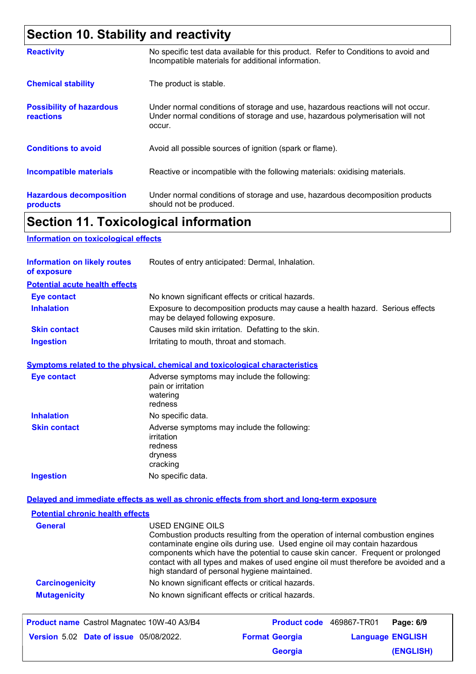# **Section 10. Stability and reactivity**

| <b>Reactivity</b>                                   | No specific test data available for this product. Refer to Conditions to avoid and<br>Incompatible materials for additional information.                                   |
|-----------------------------------------------------|----------------------------------------------------------------------------------------------------------------------------------------------------------------------------|
| <b>Chemical stability</b>                           | The product is stable.                                                                                                                                                     |
| <b>Possibility of hazardous</b><br><b>reactions</b> | Under normal conditions of storage and use, hazardous reactions will not occur.<br>Under normal conditions of storage and use, hazardous polymerisation will not<br>occur. |
| <b>Conditions to avoid</b>                          | Avoid all possible sources of ignition (spark or flame).                                                                                                                   |
| <b>Incompatible materials</b>                       | Reactive or incompatible with the following materials: oxidising materials.                                                                                                |
| <b>Hazardous decomposition</b><br>products          | Under normal conditions of storage and use, hazardous decomposition products<br>should not be produced.                                                                    |

### **Section 11. Toxicological information**

#### **Information on toxicological effects**

| <b>Information on likely routes</b><br>of exposure | Routes of entry anticipated: Dermal, Inhalation.                                                                    |
|----------------------------------------------------|---------------------------------------------------------------------------------------------------------------------|
| <b>Potential acute health effects</b>              |                                                                                                                     |
| <b>Eye contact</b>                                 | No known significant effects or critical hazards.                                                                   |
| <b>Inhalation</b>                                  | Exposure to decomposition products may cause a health hazard. Serious effects<br>may be delayed following exposure. |
| <b>Skin contact</b>                                | Causes mild skin irritation. Defatting to the skin.                                                                 |
| <b>Ingestion</b>                                   | Irritating to mouth, throat and stomach.                                                                            |

#### **Symptoms related to the physical, chemical and toxicological characteristics**

| <b>Eye contact</b>  | Adverse symptoms may include the following:<br>pain or irritation<br>watering<br>redness    |
|---------------------|---------------------------------------------------------------------------------------------|
| <b>Inhalation</b>   | No specific data.                                                                           |
| <b>Skin contact</b> | Adverse symptoms may include the following:<br>irritation<br>redness<br>dryness<br>cracking |
| <b>Ingestion</b>    | No specific data.                                                                           |

#### **Delayed and immediate effects as well as chronic effects from short and long-term exposure**

| <b>Potential chronic health effects</b> |                                                                                                                                                                                                                                                                                                                                                                                                             |
|-----------------------------------------|-------------------------------------------------------------------------------------------------------------------------------------------------------------------------------------------------------------------------------------------------------------------------------------------------------------------------------------------------------------------------------------------------------------|
| <b>General</b>                          | USED ENGINE OILS<br>Combustion products resulting from the operation of internal combustion engines<br>contaminate engine oils during use. Used engine oil may contain hazardous<br>components which have the potential to cause skin cancer. Frequent or prolonged<br>contact with all types and makes of used engine oil must therefore be avoided and a<br>high standard of personal hygiene maintained. |
| <b>Carcinogenicity</b>                  | No known significant effects or critical hazards.                                                                                                                                                                                                                                                                                                                                                           |
| <b>Mutagenicity</b>                     | No known significant effects or critical hazards.                                                                                                                                                                                                                                                                                                                                                           |

| Product name Castrol Magnatec 10W-40 A3/B4    | <b>Product code</b> 469867-TR01 |                         | Page: 6/9 |
|-----------------------------------------------|---------------------------------|-------------------------|-----------|
| <b>Version 5.02 Date of issue 05/08/2022.</b> | <b>Format Georgia</b>           | <b>Language ENGLISH</b> |           |
|                                               | <b>Georgia</b>                  |                         | (ENGLISH) |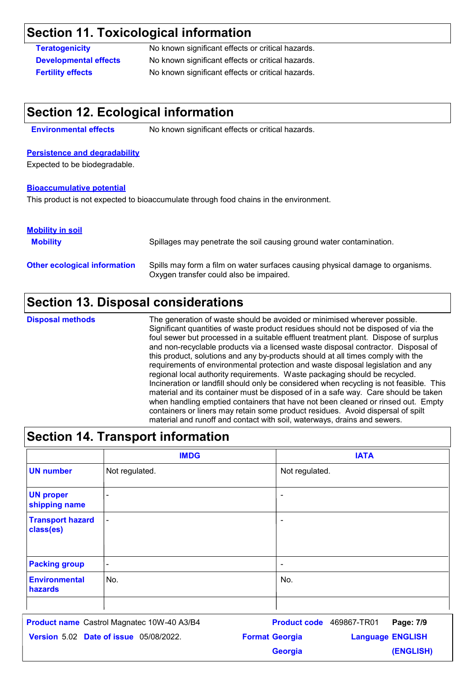### **Section 11. Toxicological information**

**Teratogenicity** No known significant effects or critical hazards. **Developmental effects** No known significant effects or critical hazards. **Fertility effects** No known significant effects or critical hazards.

#### **Section 12. Ecological information**

**Environmental effects** No known significant effects or critical hazards.

#### **Persistence and degradability**

Expected to be biodegradable.

#### **Bioaccumulative potential**

This product is not expected to bioaccumulate through food chains in the environment.

#### **Mobility in soil**

| <b>Mobility</b>                     | Spillages may penetrate the soil causing ground water contamination.                                                      |
|-------------------------------------|---------------------------------------------------------------------------------------------------------------------------|
| <b>Other ecological information</b> | Spills may form a film on water surfaces causing physical damage to organisms.<br>Oxygen transfer could also be impaired. |

### **Section 13. Disposal considerations**

The generation of waste should be avoided or minimised wherever possible. Significant quantities of waste product residues should not be disposed of via the foul sewer but processed in a suitable effluent treatment plant. Dispose of surplus and non-recyclable products via a licensed waste disposal contractor. Disposal of this product, solutions and any by-products should at all times comply with the requirements of environmental protection and waste disposal legislation and any regional local authority requirements. Waste packaging should be recycled. Incineration or landfill should only be considered when recycling is not feasible. This material and its container must be disposed of in a safe way. Care should be taken when handling emptied containers that have not been cleaned or rinsed out. Empty containers or liners may retain some product residues. Avoid dispersal of spilt material and runoff and contact with soil, waterways, drains and sewers. **Disposal methods**

#### **Section 14. Transport information UN number** - - - Not regulated.<br>-<br>-- - Not regulated. **IMDG IATA UN proper shipping name Transport hazard class(es) Packing group Environmental hazards** No. No.

**Date of issue** 05/08/2022. **Version** 5.02 **Format Georgia Language Product name** Castrol Magnatec 10W-40 A3/B4 **Product code** 469867-TR01 **Page: 7/9** | **Language ENGLISH (ENGLISH)** Product code 469867-TR01 Page: 7/9 **Georgia**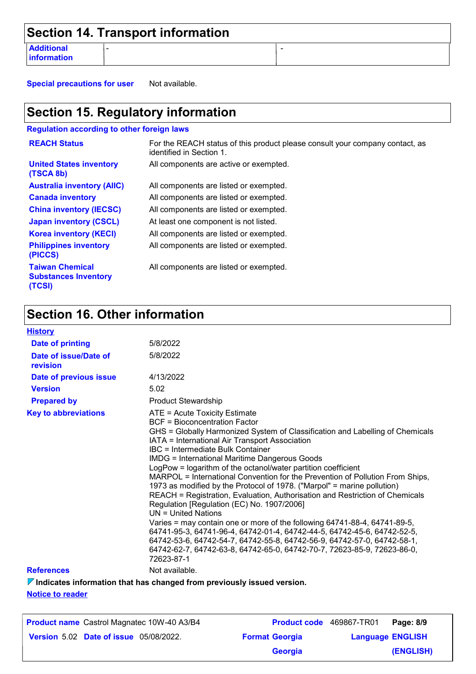|                                  | Section 14. Transport information |  |
|----------------------------------|-----------------------------------|--|
| <b>Additional</b><br>information |                                   |  |

**Special precautions for user** Not available.

## **Section 15. Regulatory information**

**Regulation according to other foreign laws**

| <b>REACH Status</b>                                             | For the REACH status of this product please consult your company contact, as<br>identified in Section 1. |
|-----------------------------------------------------------------|----------------------------------------------------------------------------------------------------------|
| <b>United States inventory</b><br>(TSCA 8b)                     | All components are active or exempted.                                                                   |
| <b>Australia inventory (AIIC)</b>                               | All components are listed or exempted.                                                                   |
| <b>Canada inventory</b>                                         | All components are listed or exempted.                                                                   |
| <b>China inventory (IECSC)</b>                                  | All components are listed or exempted.                                                                   |
| <b>Japan inventory (CSCL)</b>                                   | At least one component is not listed.                                                                    |
| <b>Korea inventory (KECI)</b>                                   | All components are listed or exempted.                                                                   |
| <b>Philippines inventory</b><br>(PICCS)                         | All components are listed or exempted.                                                                   |
| <b>Taiwan Chemical</b><br><b>Substances Inventory</b><br>(TCSI) | All components are listed or exempted.                                                                   |

# **Section 16. Other information**

| <b>History</b>                    |                                                                                                                                                                                                                                                                                                                                                                                                                                                                                                                                                                                                                                                                                                                                                                                                                                                                                                                                                                                                                       |
|-----------------------------------|-----------------------------------------------------------------------------------------------------------------------------------------------------------------------------------------------------------------------------------------------------------------------------------------------------------------------------------------------------------------------------------------------------------------------------------------------------------------------------------------------------------------------------------------------------------------------------------------------------------------------------------------------------------------------------------------------------------------------------------------------------------------------------------------------------------------------------------------------------------------------------------------------------------------------------------------------------------------------------------------------------------------------|
| <b>Date of printing</b>           | 5/8/2022                                                                                                                                                                                                                                                                                                                                                                                                                                                                                                                                                                                                                                                                                                                                                                                                                                                                                                                                                                                                              |
| Date of issue/Date of<br>revision | 5/8/2022                                                                                                                                                                                                                                                                                                                                                                                                                                                                                                                                                                                                                                                                                                                                                                                                                                                                                                                                                                                                              |
| Date of previous issue            | 4/13/2022                                                                                                                                                                                                                                                                                                                                                                                                                                                                                                                                                                                                                                                                                                                                                                                                                                                                                                                                                                                                             |
| <b>Version</b>                    | 5.02                                                                                                                                                                                                                                                                                                                                                                                                                                                                                                                                                                                                                                                                                                                                                                                                                                                                                                                                                                                                                  |
| <b>Prepared by</b>                | <b>Product Stewardship</b>                                                                                                                                                                                                                                                                                                                                                                                                                                                                                                                                                                                                                                                                                                                                                                                                                                                                                                                                                                                            |
| <b>Key to abbreviations</b>       | ATE = Acute Toxicity Estimate<br><b>BCF</b> = Bioconcentration Factor<br>GHS = Globally Harmonized System of Classification and Labelling of Chemicals<br>IATA = International Air Transport Association<br>IBC = Intermediate Bulk Container<br><b>IMDG</b> = International Maritime Dangerous Goods<br>LogPow = logarithm of the octanol/water partition coefficient<br>MARPOL = International Convention for the Prevention of Pollution From Ships,<br>1973 as modified by the Protocol of 1978. ("Marpol" = marine pollution)<br>REACH = Registration, Evaluation, Authorisation and Restriction of Chemicals<br>Regulation [Regulation (EC) No. 1907/2006]<br>$UN = United Nations$<br>Varies = may contain one or more of the following 64741-88-4, 64741-89-5,<br>64741-95-3, 64741-96-4, 64742-01-4, 64742-44-5, 64742-45-6, 64742-52-5,<br>64742-53-6, 64742-54-7, 64742-55-8, 64742-56-9, 64742-57-0, 64742-58-1,<br>64742-62-7, 64742-63-8, 64742-65-0, 64742-70-7, 72623-85-9, 72623-86-0,<br>72623-87-1 |
| <b>References</b>                 | Not available.                                                                                                                                                                                                                                                                                                                                                                                                                                                                                                                                                                                                                                                                                                                                                                                                                                                                                                                                                                                                        |
|                                   |                                                                                                                                                                                                                                                                                                                                                                                                                                                                                                                                                                                                                                                                                                                                                                                                                                                                                                                                                                                                                       |

**Indicates information that has changed from previously issued version.**

**Notice to reader**

| <b>Product name</b> Castrol Magnatec 10W-40 A3/B4 | Product code 469867-TR01 |                         | Page: 8/9 |
|---------------------------------------------------|--------------------------|-------------------------|-----------|
| <b>Version 5.02 Date of issue 05/08/2022.</b>     | <b>Format Georgia</b>    | <b>Language ENGLISH</b> |           |
|                                                   | <b>Georgia</b>           |                         | (ENGLISH) |